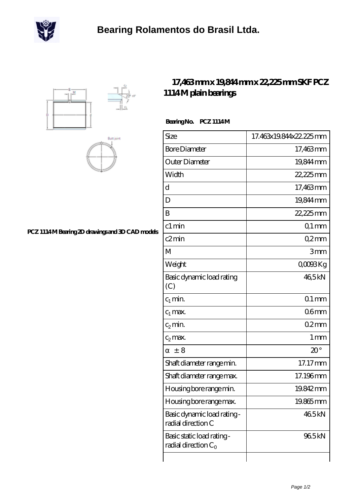





## **[PCZ 1114 M Bearing 2D drawings and 3D CAD models](https://m.scottrobertalexander.com/pic-539680.html)**

## **[17,463 mm x 19,844 mm x 22,225 mm SKF PCZ](https://m.scottrobertalexander.com/skf-pcz-1114-m-bearing/) [1114 M plain bearings](https://m.scottrobertalexander.com/skf-pcz-1114-m-bearing/)**

## Bearing No. PCZ 1114M

| Size                                                 | 17.463x19.844x22.225mm |
|------------------------------------------------------|------------------------|
| <b>Bore Diameter</b>                                 | 17,463mm               |
| Outer Diameter                                       | 19,844 mm              |
| Width                                                | 22,225mm               |
| d                                                    | 17,463mm               |
| D                                                    | 19.844mm               |
| B                                                    | 22,225mm               |
| c1 min                                               | $Q1$ mm                |
| c2min                                                | Q2mm                   |
| М                                                    | 3mm                    |
| Weight                                               | QOOBKg                 |
| Basic dynamic load rating<br>(C)                     | 465kN                  |
| $c_1$ min.                                           | $01$ mm                |
| $c_1$ max.                                           | 06 <sub>mm</sub>       |
| $c_2$ min.                                           | 02mm                   |
| $c_2$ max.                                           | $1 \,\mathrm{mm}$      |
| ± 8                                                  | $20^{\circ}$           |
| Shaft diameter range min.                            | 17.17mm                |
| Shaft diameter range max.                            | 17.196mm               |
| Housing bore range min.                              | 19.842mm               |
| Housing bore range max.                              | 19.865mm               |
| Basic dynamic load rating -<br>radial direction C    | 465kN                  |
| Basic static load rating -<br>radial direction $C_0$ | 965kN                  |
|                                                      |                        |